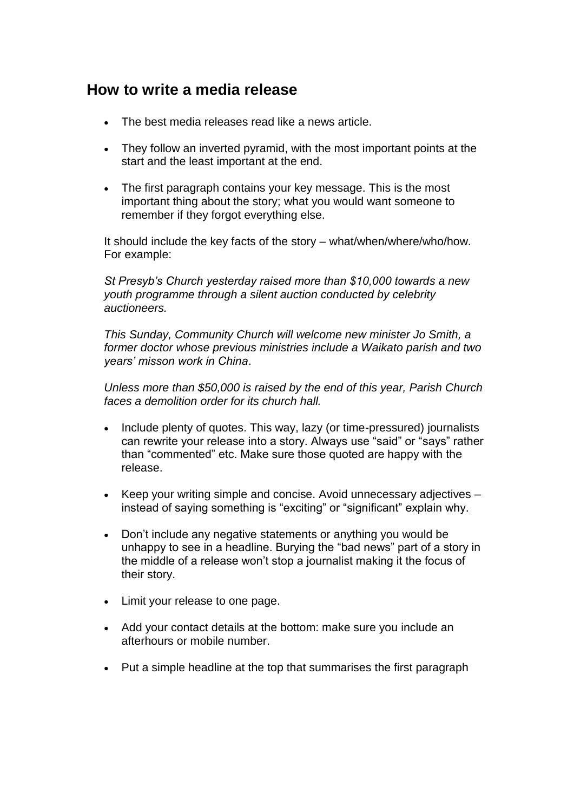## **How to write a media release**

- The best media releases read like a news article.
- They follow an inverted pyramid, with the most important points at the start and the least important at the end.
- The first paragraph contains your key message. This is the most important thing about the story; what you would want someone to remember if they forgot everything else.

It should include the key facts of the story – what/when/where/who/how. For example:

*St Presyb's Church yesterday raised more than \$10,000 towards a new youth programme through a silent auction conducted by celebrity auctioneers.*

*This Sunday, Community Church will welcome new minister Jo Smith, a former doctor whose previous ministries include a Waikato parish and two years' misson work in China*.

*Unless more than \$50,000 is raised by the end of this year, Parish Church faces a demolition order for its church hall.*

- Include plenty of quotes. This way, lazy (or time-pressured) journalists can rewrite your release into a story. Always use "said" or "says" rather than "commented" etc. Make sure those quoted are happy with the release.
- $\bullet$  Keep your writing simple and concise. Avoid unnecessary adjectives  $$ instead of saying something is "exciting" or "significant" explain why.
- Don't include any negative statements or anything you would be unhappy to see in a headline. Burying the "bad news" part of a story in the middle of a release won't stop a journalist making it the focus of their story.
- Limit your release to one page.
- Add your contact details at the bottom: make sure you include an afterhours or mobile number.
- Put a simple headline at the top that summarises the first paragraph